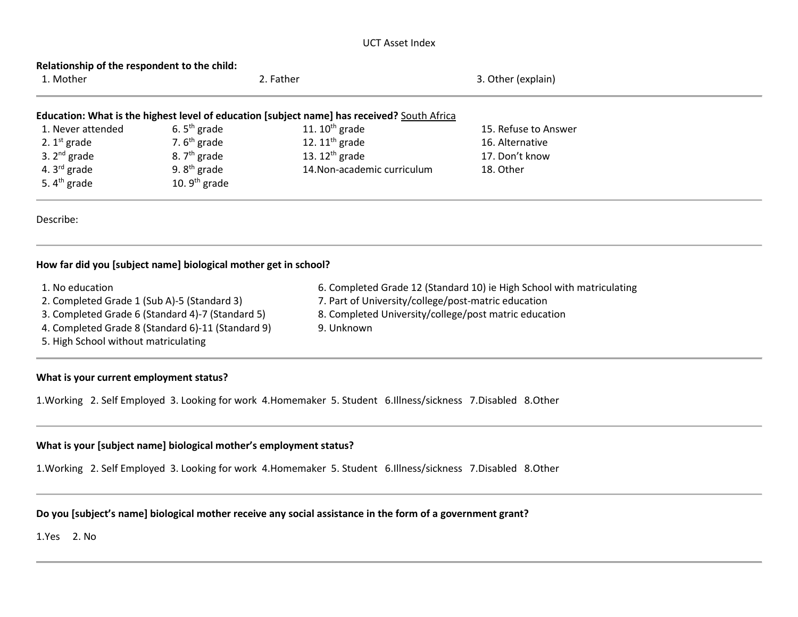#### UCT Asset Index

| Relationship of the respondent to the child:<br>1. Mother                                   |                 | 2. Father                   | 3. Other (explain)   |  |  |  |  |  |
|---------------------------------------------------------------------------------------------|-----------------|-----------------------------|----------------------|--|--|--|--|--|
| Education: What is the highest level of education [subject name] has received? South Africa |                 |                             |                      |  |  |  |  |  |
| 1. Never attended                                                                           | 6. $5th$ grade  | 11. $10^{th}$ grade         | 15. Refuse to Answer |  |  |  |  |  |
| 2. $1st$ grade                                                                              | 7. $6th$ grade  | 12. $11th$ grade            | 16. Alternative      |  |  |  |  |  |
| 3. $2^{nd}$ grade                                                                           | 8. $7th$ grade  | 13. $12^{th}$ grade         | 17. Don't know       |  |  |  |  |  |
| 4. $3^{\text{rd}}$ grade                                                                    | 9. $8th$ grade  | 14. Non-academic curriculum | 18. Other            |  |  |  |  |  |
| 5. $4th$ grade                                                                              | 10. $9th$ grade |                             |                      |  |  |  |  |  |
| Describe:                                                                                   |                 |                             |                      |  |  |  |  |  |

# **How far did you [subject name] biological mother get in school?**

| 1. No education                                   | 6. Completed Grade 12 (Standard 10) ie High School with matriculating |
|---------------------------------------------------|-----------------------------------------------------------------------|
| 2. Completed Grade 1 (Sub A)-5 (Standard 3)       | 7. Part of University/college/post-matric education                   |
| 3. Completed Grade 6 (Standard 4)-7 (Standard 5)  | 8. Completed University/college/post matric education                 |
| 4. Completed Grade 8 (Standard 6)-11 (Standard 9) | 9. Unknown                                                            |
| 5. High School without matriculating              |                                                                       |

#### **What is your current employment status?**

1.Working 2. Self Employed 3. Looking for work 4.Homemaker 5. Student 6.Illness/sickness 7.Disabled 8.Other

# **What is your [subject name] biological mother's employment status?**

1.Working 2. Self Employed 3. Looking for work 4.Homemaker 5. Student 6.Illness/sickness 7.Disabled 8.Other

#### **Do you [subject's name] biological mother receive any social assistance in the form of a government grant?**

1.Yes 2. No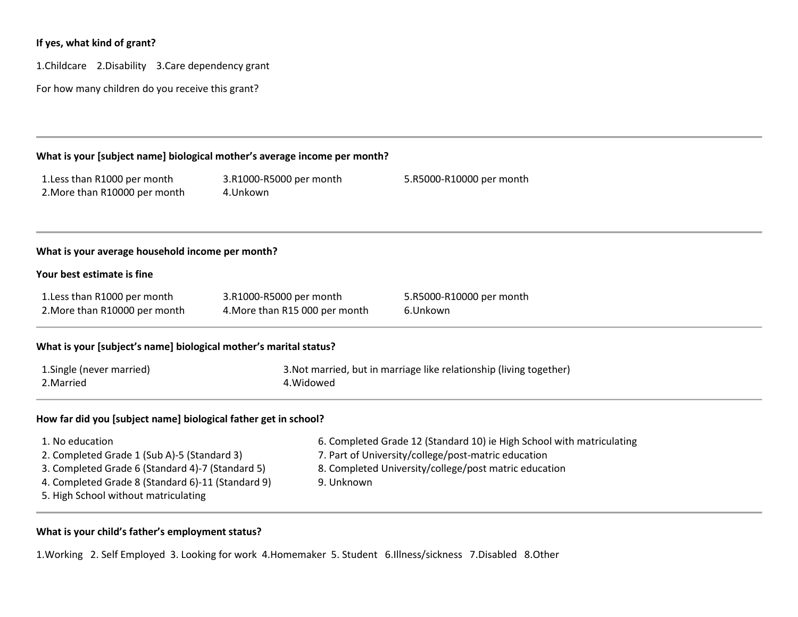# **If yes, what kind of grant?**

1.Childcare 2.Disability 3.Care dependency grant

For how many children do you receive this grant?

| What is your [subject name] biological mother's average income per month?                                                                                                                                       |                                                           |                                                                                                                                                                                       |  |  |  |  |  |  |  |
|-----------------------------------------------------------------------------------------------------------------------------------------------------------------------------------------------------------------|-----------------------------------------------------------|---------------------------------------------------------------------------------------------------------------------------------------------------------------------------------------|--|--|--|--|--|--|--|
| 1. Less than R1000 per month<br>2. More than R10000 per month                                                                                                                                                   | 3.R1000-R5000 per month<br>4.Unkown                       | 5.R5000-R10000 per month                                                                                                                                                              |  |  |  |  |  |  |  |
| What is your average household income per month?                                                                                                                                                                |                                                           |                                                                                                                                                                                       |  |  |  |  |  |  |  |
| Your best estimate is fine                                                                                                                                                                                      |                                                           |                                                                                                                                                                                       |  |  |  |  |  |  |  |
| 1. Less than R1000 per month<br>2. More than R10000 per month                                                                                                                                                   | 3.R1000-R5000 per month<br>4. More than R15 000 per month | 5.R5000-R10000 per month<br>6.Unkown                                                                                                                                                  |  |  |  |  |  |  |  |
| What is your [subject's name] biological mother's marital status?                                                                                                                                               |                                                           |                                                                                                                                                                                       |  |  |  |  |  |  |  |
| 1. Single (never married)<br>2. Married                                                                                                                                                                         | 4. Widowed                                                | 3. Not married, but in marriage like relationship (living together)                                                                                                                   |  |  |  |  |  |  |  |
| How far did you [subject name] biological father get in school?                                                                                                                                                 |                                                           |                                                                                                                                                                                       |  |  |  |  |  |  |  |
| 1. No education<br>2. Completed Grade 1 (Sub A)-5 (Standard 3)<br>3. Completed Grade 6 (Standard 4)-7 (Standard 5)<br>4. Completed Grade 8 (Standard 6)-11 (Standard 9)<br>5. High School without matriculating | 9. Unknown                                                | 6. Completed Grade 12 (Standard 10) ie High School with matriculating<br>7. Part of University/college/post-matric education<br>8. Completed University/college/post matric education |  |  |  |  |  |  |  |

# **What is your child's father's employment status?**

1.Working 2. Self Employed 3. Looking for work 4.Homemaker 5. Student 6.Illness/sickness 7.Disabled 8.Other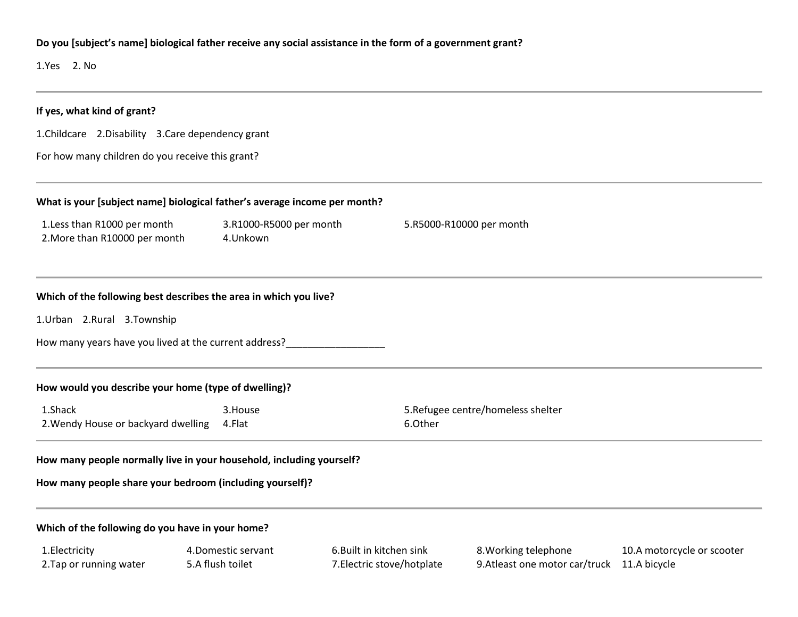# **Do you [subject's name] biological father receive any social assistance in the form of a government grant?**

1.Yes 2. No

| If yes, what kind of grant?                                                                             |                                         |                                                        |                                                                    |                            |  |  |  |  |
|---------------------------------------------------------------------------------------------------------|-----------------------------------------|--------------------------------------------------------|--------------------------------------------------------------------|----------------------------|--|--|--|--|
| 1. Childcare 2. Disability 3. Care dependency grant<br>For how many children do you receive this grant? |                                         |                                                        |                                                                    |                            |  |  |  |  |
|                                                                                                         |                                         |                                                        |                                                                    |                            |  |  |  |  |
| 1. Less than R1000 per month<br>3.R1000-R5000 per month<br>2. More than R10000 per month<br>4.Unkown    |                                         |                                                        | 5.R5000-R10000 per month                                           |                            |  |  |  |  |
| Which of the following best describes the area in which you live?                                       |                                         |                                                        |                                                                    |                            |  |  |  |  |
| 1.Urban 2.Rural 3.Township                                                                              |                                         |                                                        |                                                                    |                            |  |  |  |  |
|                                                                                                         |                                         |                                                        |                                                                    |                            |  |  |  |  |
| How would you describe your home (type of dwelling)?                                                    |                                         |                                                        |                                                                    |                            |  |  |  |  |
| 1.Shack<br>3.House<br>2. Wendy House or backyard dwelling<br>4.Flat                                     |                                         | 6.Other                                                | 5. Refugee centre/homeless shelter                                 |                            |  |  |  |  |
| How many people normally live in your household, including yourself?                                    |                                         |                                                        |                                                                    |                            |  |  |  |  |
| How many people share your bedroom (including yourself)?                                                |                                         |                                                        |                                                                    |                            |  |  |  |  |
| Which of the following do you have in your home?                                                        |                                         |                                                        |                                                                    |                            |  |  |  |  |
| 1. Electricity<br>2. Tap or running water                                                               | 4. Domestic servant<br>5.A flush toilet | 6. Built in kitchen sink<br>7. Electric stove/hotplate | 8. Working telephone<br>9.Atleast one motor car/truck 11.A bicycle | 10.A motorcycle or scooter |  |  |  |  |